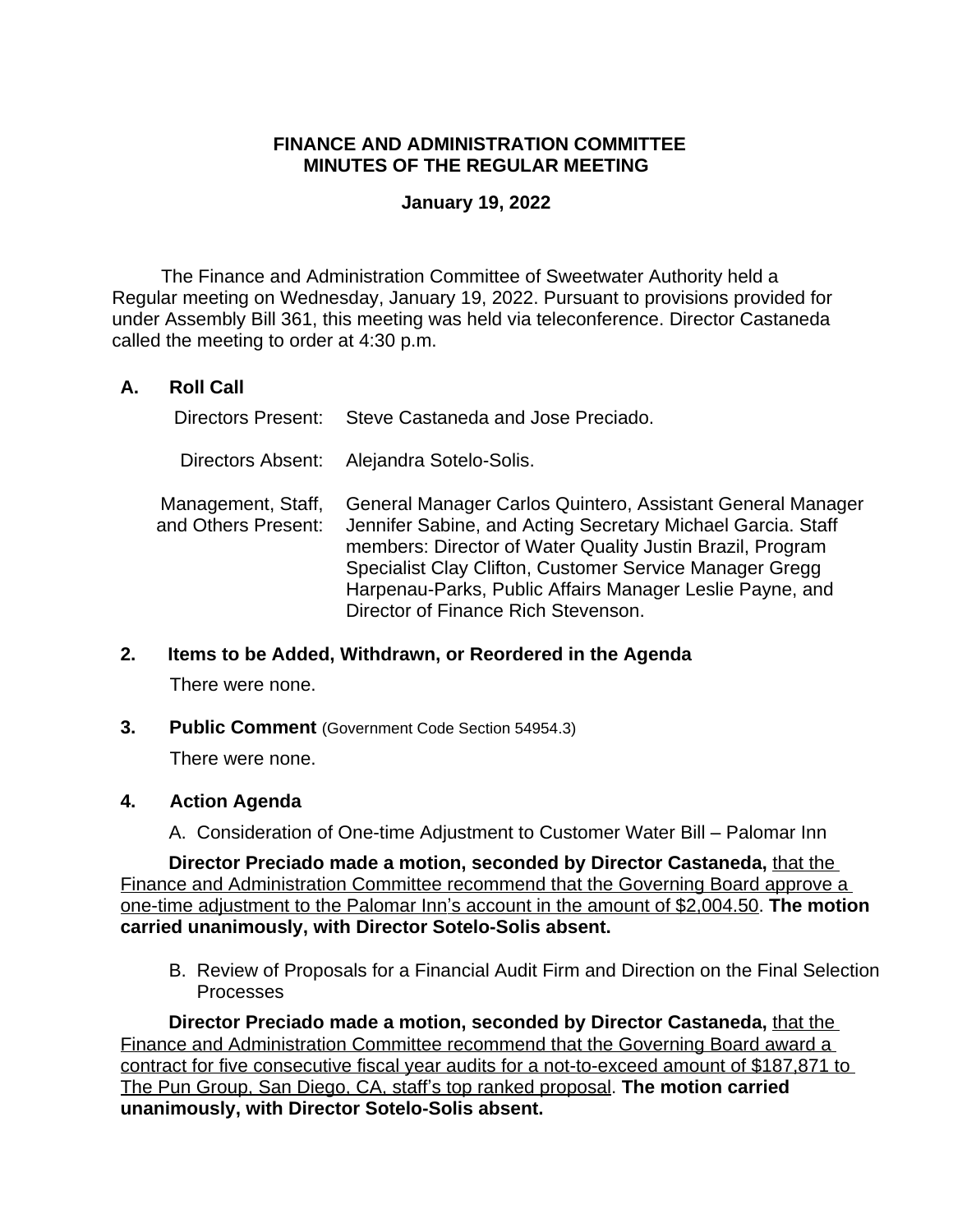# **FINANCE AND ADMINISTRATION COMMITTEE MINUTES OF THE REGULAR MEETING**

## **January 19, 2022**

The Finance and Administration Committee of Sweetwater Authority held a Regular meeting on Wednesday, January 19, 2022. Pursuant to provisions provided for under Assembly Bill 361, this meeting was held via teleconference. Director Castaneda called the meeting to order at 4:30 p.m.

# **A. Roll Call**

|                                           | Directors Present: Steve Castaneda and Jose Preciado.                                                                                                                                                                                                                                                                                                |
|-------------------------------------------|------------------------------------------------------------------------------------------------------------------------------------------------------------------------------------------------------------------------------------------------------------------------------------------------------------------------------------------------------|
|                                           | Directors Absent: Alejandra Sotelo-Solis.                                                                                                                                                                                                                                                                                                            |
| Management, Staff,<br>and Others Present: | General Manager Carlos Quintero, Assistant General Manager<br>Jennifer Sabine, and Acting Secretary Michael Garcia. Staff<br>members: Director of Water Quality Justin Brazil, Program<br>Specialist Clay Clifton, Customer Service Manager Gregg<br>Harpenau-Parks, Public Affairs Manager Leslie Payne, and<br>Director of Finance Rich Stevenson. |

### **2. Items to be Added, Withdrawn, or Reordered in the Agenda**

There were none.

**3. Public Comment** (Government Code Section 54954.3)

There were none.

### **4. Action Agenda**

A. Consideration of One-time Adjustment to Customer Water Bill – Palomar Inn

**Director Preciado made a motion, seconded by Director Castaneda,** that the Finance and Administration Committee recommend that the Governing Board approve a one-time adjustment to the Palomar Inn's account in the amount of \$2,004.50. **The motion carried unanimously, with Director Sotelo-Solis absent.**

B. Review of Proposals for a Financial Audit Firm and Direction on the Final Selection Processes

**Director Preciado made a motion, seconded by Director Castaneda,** that the Finance and Administration Committee recommend that the Governing Board award a contract for five consecutive fiscal year audits for a not-to-exceed amount of \$187,871 to The Pun Group, San Diego, CA, staff's top ranked proposal. **The motion carried unanimously, with Director Sotelo-Solis absent.**